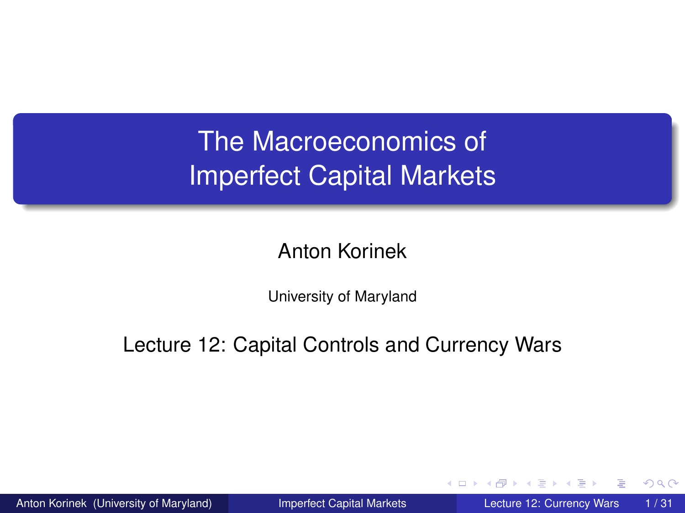# The Macroeconomics of Imperfect Capital Markets

### Anton Korinek

University of Maryland

Lecture 12: Capital Controls and Currency Wars

≡∗

4 D.K.

<span id="page-0-0"></span> $\Omega$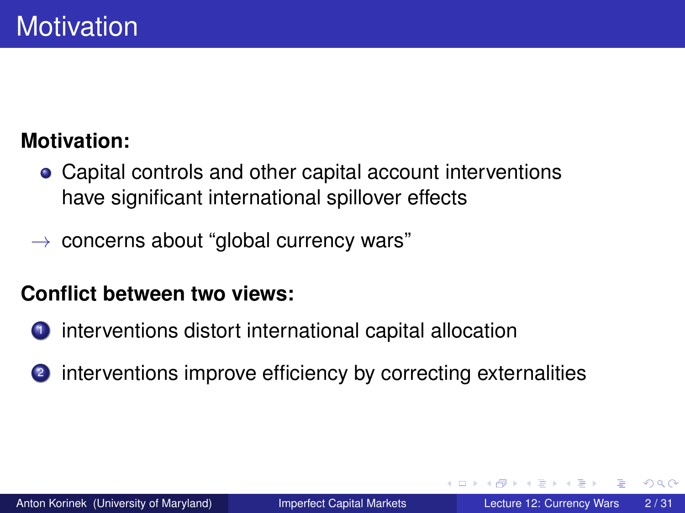### **Motivation:**

- Capital controls and other capital account interventions have significant international spillover effects
- $\rightarrow$  concerns about "global currency wars"

### **Conflict between two views:**

- interventions distort international capital allocation
- 2 interventions improve efficiency by correcting externalities

 $\Omega$ 

化重压 化重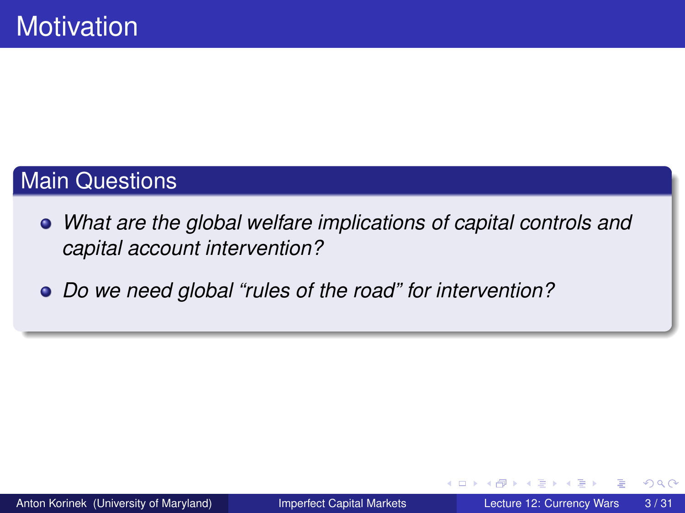### Main Questions

- *What are the global welfare implications of capital controls and capital account intervention?*
- *Do we need global "rules of the road" for intervention?*

ミャイミ

4 D.K.

 $\Omega$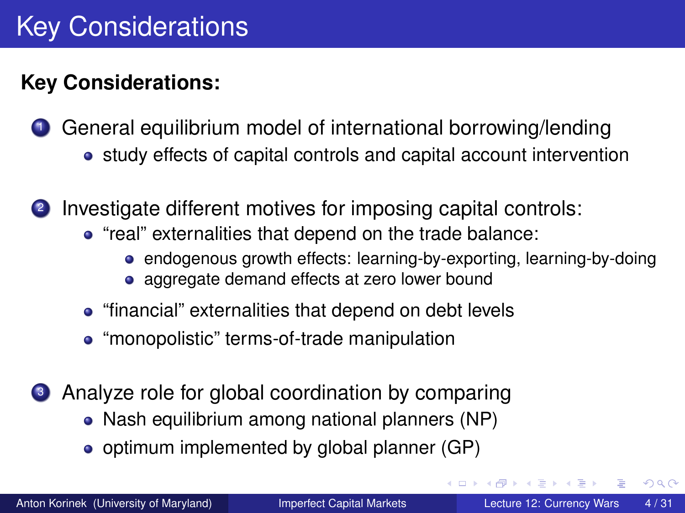### **Key Considerations:**

**1** General equilibrium model of international borrowing/lending • study effects of capital controls and capital account intervention

<sup>2</sup> Investigate different motives for imposing capital controls:

- "real" externalities that depend on the trade balance:
	- endogenous growth effects: learning-by-exporting, learning-by-doing
	- aggregate demand effects at zero lower bound
- "financial" externalities that depend on debt levels
- "monopolistic" terms-of-trade manipulation
- <sup>3</sup> Analyze role for global coordination by comparing
	- Nash equilibrium among national planners (NP)
	- optimum implemented by global planner (GP)

 $\Omega$ 

化重氮化重氮

4 ロ ト ィ *同* ト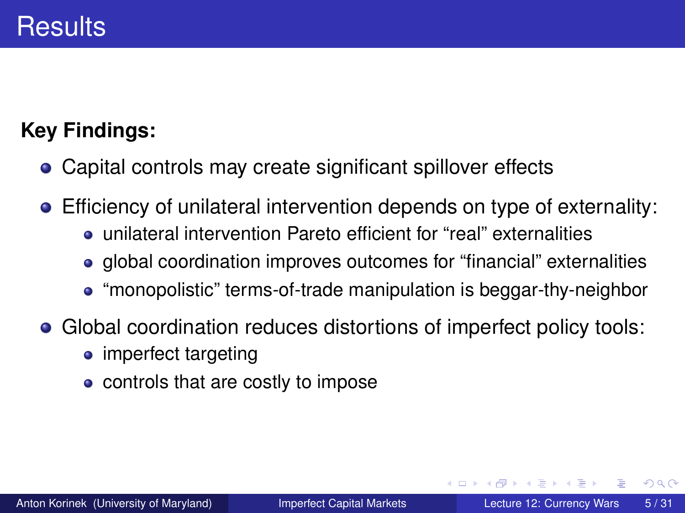### **Key Findings:**

- Capital controls may create significant spillover effects
- Efficiency of unilateral intervention depends on type of externality:
	- unilateral intervention Pareto efficient for "real" externalities
	- global coordination improves outcomes for "financial" externalities
	- "monopolistic" terms-of-trade manipulation is beggar-thy-neighbor
- Global coordination reduces distortions of imperfect policy tools:
	- imperfect targeting
	- controls that are costly to impose

 $\Omega$ 

**REPAREM** 

∢ □ ▶ ィ <sup>□</sup> ▶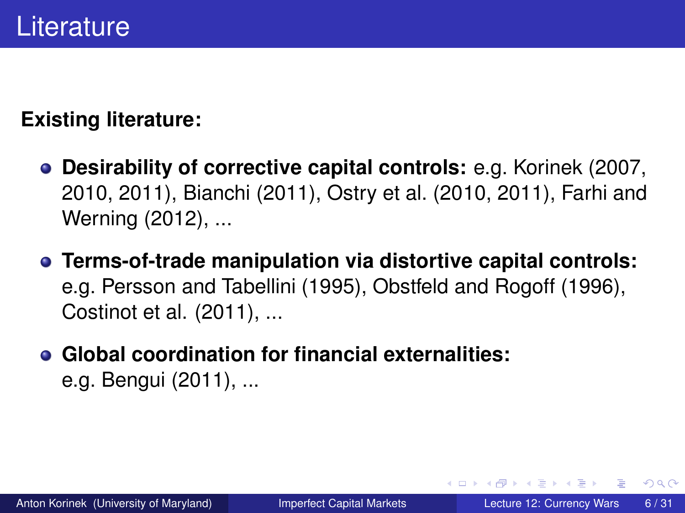### **Existing literature:**

- **Desirability of corrective capital controls:** e.g. Korinek (2007, 2010, 2011), Bianchi (2011), Ostry et al. (2010, 2011), Farhi and Werning (2012), ...
- **Terms-of-trade manipulation via distortive capital controls:** e.g. Persson and Tabellini (1995), Obstfeld and Rogoff (1996), Costinot et al. (2011), ...
- **Global coordination for financial externalities:** e.g. Bengui (2011), ...

 $\Omega$ 

イロト イ押 トイラト イラト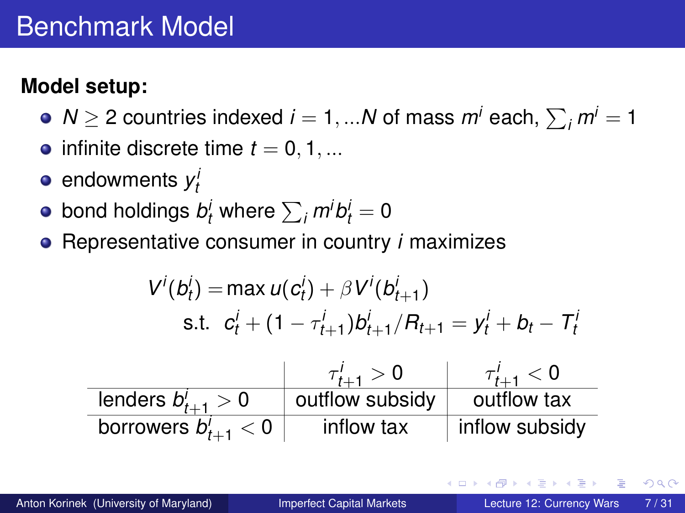### **Model setup:**

- $N\geq 2$  countries indexed  $i=1,...N$  of mass  $m^{i}$  each,  $\sum_{i} m^{i}=1$
- $\bullet$  infinite discrete time  $t = 0, 1, ...$
- endowments *y i t*
- bond holdings  $b^i_t$  where  $\sum_i m^i b^i_t = 0$
- Representative consumer in country *i* maximizes

$$
V^{i}(b_{t}^{i}) = \max u(c_{t}^{i}) + \beta V^{i}(b_{t+1}^{i})
$$
  
s.t.  $c_{t}^{i} + (1 - \tau_{t+1}^{i})b_{t+1}^{i}/R_{t+1} = y_{t}^{i} + b_{t} - T_{t}^{i}$ 

|                          | $\tau'_{t+1} > 0$ | $\tau'_{t+1} < 0$ |
|--------------------------|-------------------|-------------------|
| lenders $b'_{t+1} > 0$   | outflow subsidy   | outflow tax       |
| borrowers $b'_{t+1} < 0$ | inflow tax        | inflow subsidy    |

 $\Omega$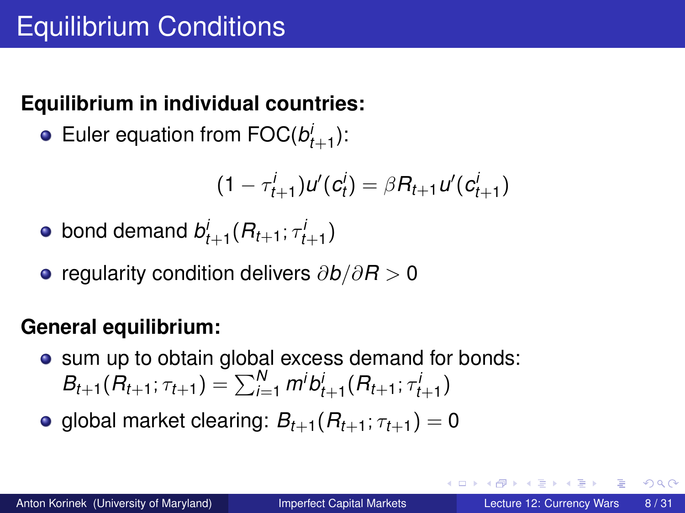### **Equilibrium in individual countries:**

Euler equation from  $\mathsf{FOC}(\mathcal{b}'_{t+1})$ :

$$
(1 - \tau_{t+1}^i)u'(c_t^i) = \beta R_{t+1}u'(c_{t+1}^i)
$$

• bond demand 
$$
b_{t+1}^i(R_{t+1}; \tau_{t+1}^i)
$$

regularity condition delivers ∂*b*/∂*R* > 0

### **General equilibrium:**

• sum up to obtain global excess demand for bonds:  $B_{t+1}(R_{t+1}; \tau_{t+1}) = \sum_{i=1}^{N} m^{i} b^{i}_{t+1}(R_{t+1}; \tau^{i}_{t+1})$ 

• global market clearing:  $B_{t+1}(R_{t+1}; \tau_{t+1}) = 0$ 

 $\Omega$ 

 $\mathbf{A} \equiv \mathbf{A} \times \mathbf{A} \equiv \mathbf{A}$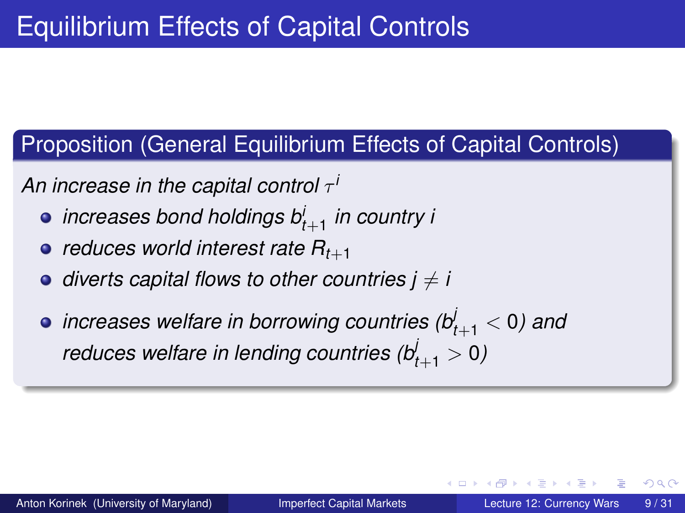### Proposition (General Equilibrium Effects of Capital Controls)

**An increase in the capital control** τ<sup>1</sup>

- *increases bond holdings b<sup>i</sup> t*+1 *in country i*
- $\bullet$  *reduces world interest rate*  $R_{t+1}$
- $\bullet$  *diverts capital flows to other countries*  $i \neq i$
- *increases welfare in borrowing countries (b<sup>j</sup> <sup>t</sup>*+<sup>1</sup> < 0*) and reduces welfare in lending countries (b<sup>j</sup> <sup>t</sup>*+<sup>1</sup> > 0*)*

 $\Omega$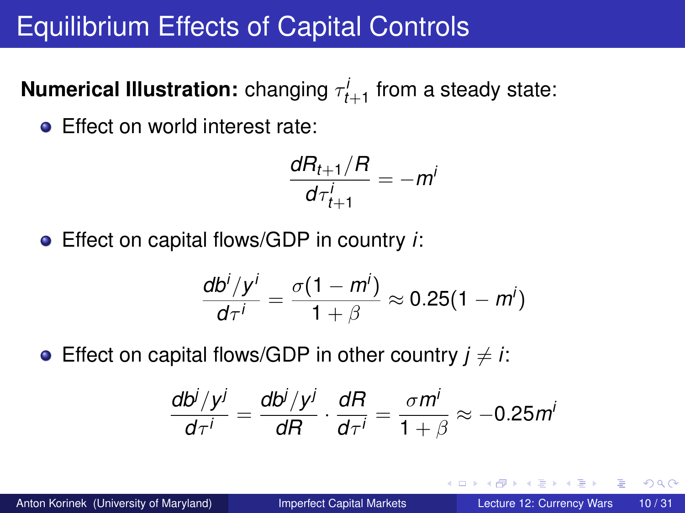# Equilibrium Effects of Capital Controls

 $\bm{\mathsf{Numerical} \; Illustration:}$  changing  $\tau^i_{t+1}$  from a steady state:

**Effect on world interest rate:** 

$$
\frac{dR_{t+1}/R}{d\tau_{t+1}^i} = -m^i
$$

Effect on capital flows/GDP in country *i*:

$$
\frac{db^i/y^i}{d\tau^i} = \frac{\sigma(1-m^i)}{1+\beta} \approx 0.25(1-m^i)
$$

**•** Effect on capital flows/GDP in other country  $j \neq i$ :

$$
\frac{db^j/y^j}{d\tau^i} = \frac{db^j/y^j}{dR} \cdot \frac{dR}{d\tau^i} = \frac{\sigma m^i}{1+\beta} \approx -0.25 m^i
$$

 $\Omega$ 

イロト イ押 トイラト イラト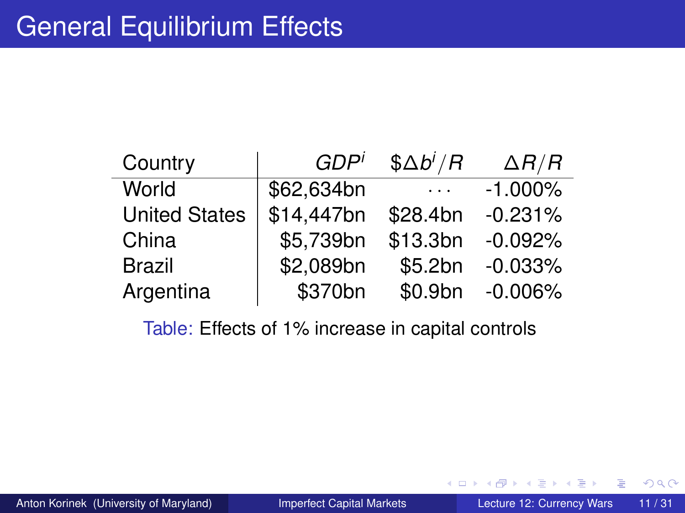| Country              | GDP <sup>i</sup> | $$ \Delta b^i/R$ | $\Delta R/R$ |
|----------------------|------------------|------------------|--------------|
| World                | \$62,634bn       | $\cdots$         | $-1.000\%$   |
| <b>United States</b> | \$14,447bn       | \$28.4bn         | $-0.231%$    |
| China                | \$5,739bn        | \$13.3bn         | $-0.092%$    |
| <b>Brazil</b>        | \$2,089bn        | \$5.2bn          | $-0.033%$    |
| Argentina            | \$370bn          | \$0.9bn          | $-0.006%$    |

Table: Effects of 1% increase in capital controls

Þ

 $299$ 

K ロ ⊁ K 倒 ≯ K 君 ⊁ K 君 ⊁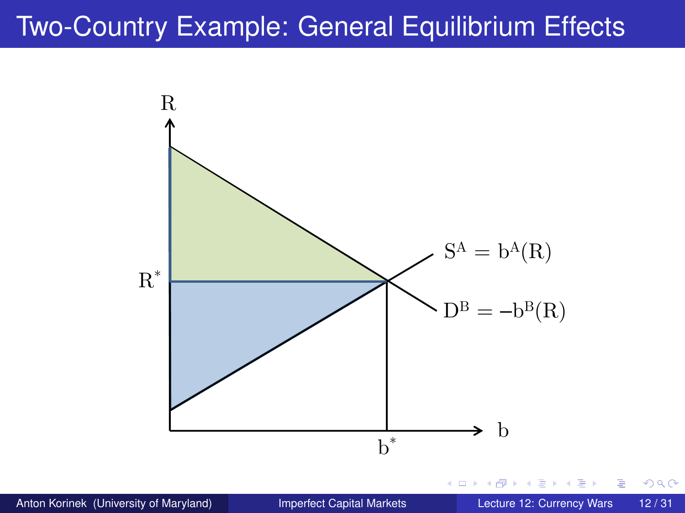# Two-Country Example: General Equilibrium Effects



 $299$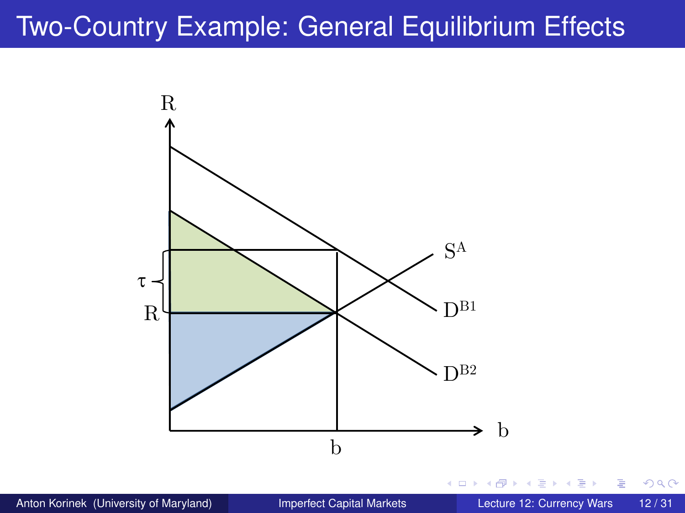# Two-Country Example: General Equilibrium Effects



 $299$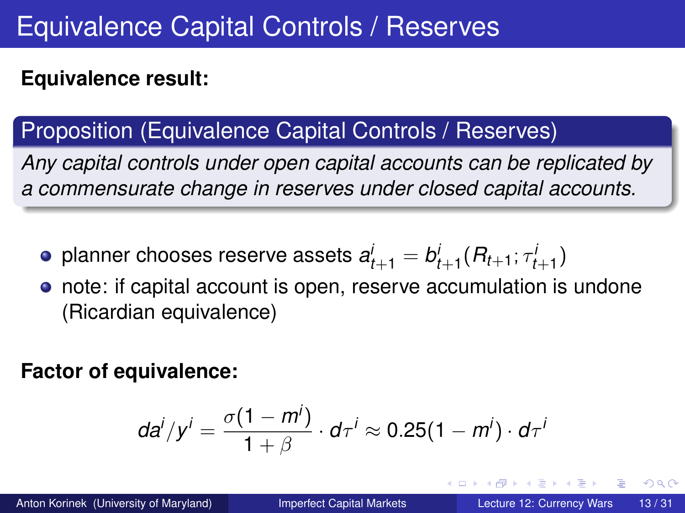### **Equivalence result:**

### Proposition (Equivalence Capital Controls / Reserves)

*Any capital controls under open capital accounts can be replicated by a commensurate change in reserves under closed capital accounts.*

- planner chooses reserve assets  $a_{t+1}^j = b_{t+1}^j (R_{t+1}; \tau_{t+1}^j)$
- note: if capital account is open, reserve accumulation is undone (Ricardian equivalence)

#### **Factor of equivalence:**

$$
da^i/y^i = \frac{\sigma(1-m^i)}{1+\beta} \cdot d\tau^i \approx 0.25(1-m^i) \cdot d\tau^i
$$

 $\Omega$ 

イロト イ押ト イヨト イヨトー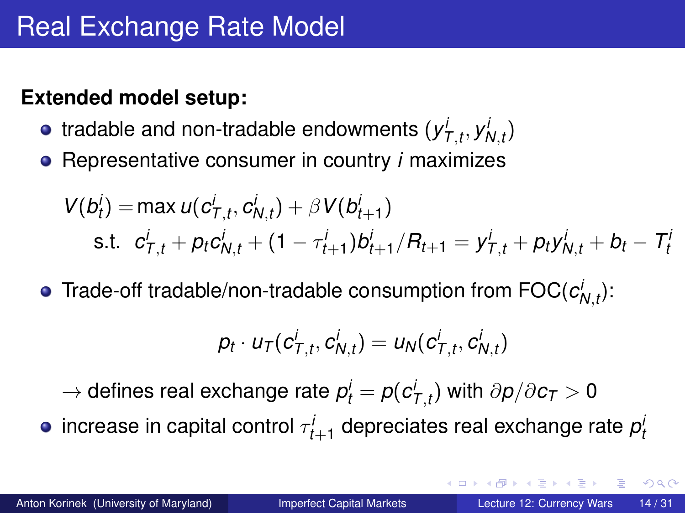#### **Extended model setup:**

- tradable and non-tradable endowments  $(y_{\mathcal{T},t}^i, y_{\mathcal{N},t}^i)$
- Representative consumer in country *i* maximizes

$$
V(b_t^i) = \max u(c_{T,t}^i, c_{N,t}^i) + \beta V(b_{t+1}^i)
$$
  
s.t.  $c_{T,t}^i + p_t c_{N,t}^i + (1 - \tau_{t+1}^i) b_{t+1}^i / R_{t+1} = y_{T,t}^i + p_t y_{N,t}^i + b_t - T_t^i$ 

Trade-off tradable/non-tradable consumption from  $\mathsf{FOC}(c^i_{N,t})$ :

$$
p_t \cdot u_T(c_{T,t}^i, c_{N,t}^i) = u_N(c_{T,t}^i, c_{N,t}^i)
$$

 $\rightarrow$  defines real exchange rate  $\rho^i_t = \rho(c^i_{\mathcal{T},t})$  with  $\partial \rho/\partial c_{\mathcal{T}} > 0$ 

increase in capital control  $\tau^i_{t+1}$  depreciates real exchange rate  $\rho^i_t$ 

 $\Omega$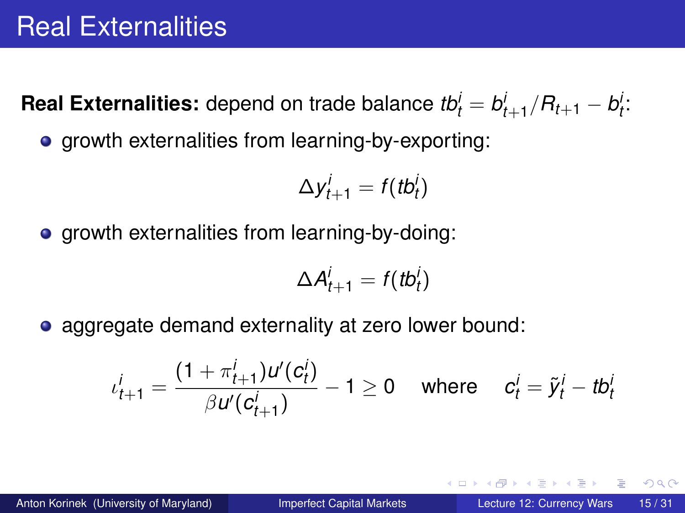**Real Externalities:** depend on trade balance  $tb^i_t = b^i_{t+1}/R_{t+1} - b^i_t$ :

• growth externalities from learning-by-exporting:

$$
\Delta y_{t+1}^i = f(tb_t^i)
$$

**•** growth externalities from learning-by-doing:

$$
\Delta A_{t+1}^i = f(tb_t^i)
$$

• aggregate demand externality at zero lower bound:

$$
\iota_{t+1}^i = \frac{(1 + \pi_{t+1}^i) u'(c_t^i)}{\beta u'(c_{t+1}^i)} - 1 \ge 0 \quad \text{ where } \quad c_t^i = \tilde{y}_t^i - tb_t^i
$$

 $\Omega$ 

イロト イ押ト イヨト イヨトー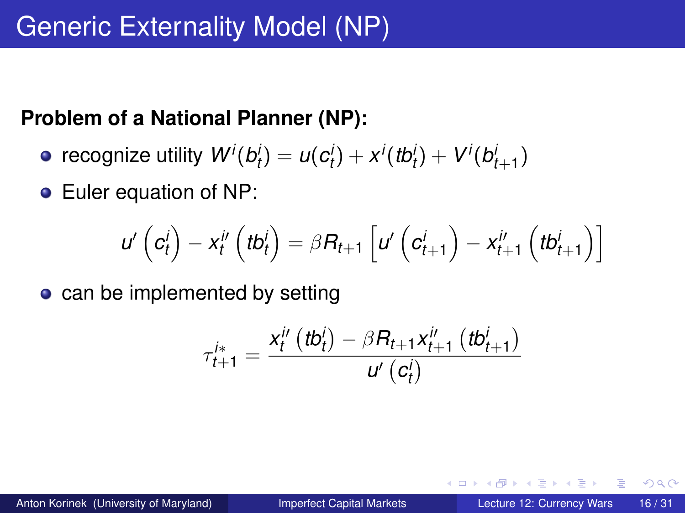#### **Problem of a National Planner (NP):**

- recognize utility  $W^{i}(b^{i}_{t}) = u(c^{i}_{t}) + x^{i}(tb^{i}_{t}) + V^{i}(b^{i}_{t+1})$
- **•** Euler equation of NP:

$$
u'\left(c_t^i\right)-x_t^{i'}\left(tb_t^i\right)=\beta R_{t+1}\left[u'\left(c_{t+1}^i\right)-x_{t+1}^{i'}\left(tb_{t+1}^i\right)\right]
$$

• can be implemented by setting

$$
\tau_{t+1}^{i*} = \frac{x_t^{i'}(tb_t^i) - \beta R_{t+1} x_{t+1}^{i'}(tb_{t+1}^i)}{u'(c_t^i)}
$$

. . . . . .

4 D.K.

A P

 $\Omega$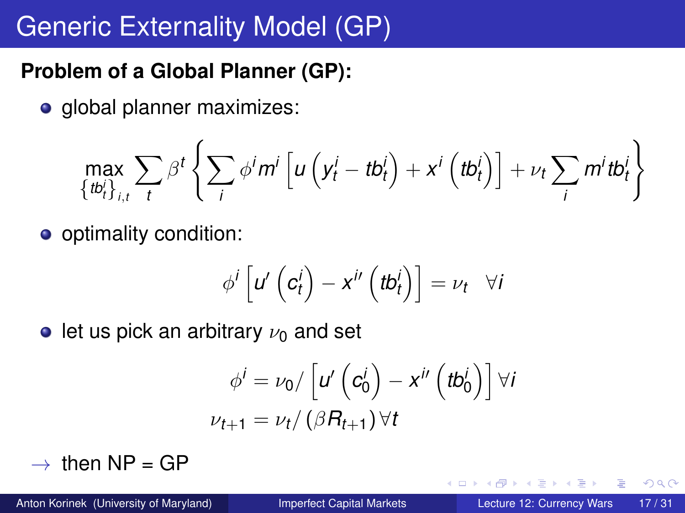# Generic Externality Model (GP)

### **Problem of a Global Planner (GP):**

• global planner maximizes:

$$
\max_{\{tb^i_t\}_{i,t}} \sum_t \beta^t \left\{ \sum_i \phi^i m^i \left[ u \left( y^i_t - tb^i_t \right) + x^i \left( tb^i_t \right) \right] + \nu_t \sum_i m^i tb^i_t \right\}
$$

**o** optimality condition:

$$
\phi^i\left[u'\left(c_t^i\right)-x^{i'}\left(tb_t^i\right)\right]=\nu_t\quad \forall i
$$

let us pick an arbitrary  $\nu_0$  and set

$$
\phi^{i} = \nu_0 / \left[ u' \left( c_0^{i} \right) - x^{i'} \left( t b_0^{i} \right) \right] \forall i
$$
  

$$
\nu_{t+1} = \nu_t / \left( \beta R_{t+1} \right) \forall t
$$

 $\rightarrow$  then NP = GP

4 0 8

And in

 $\Omega$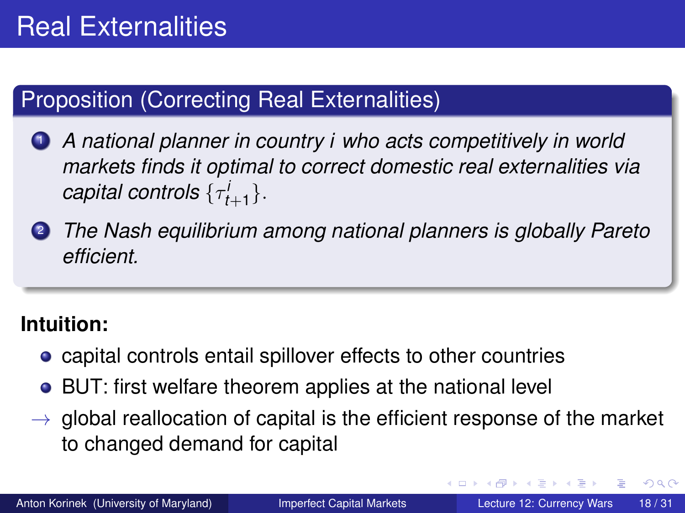### Proposition (Correcting Real Externalities)

- <sup>1</sup> *A national planner in country i who acts competitively in world markets finds it optimal to correct domestic real externalities via*  $\textit{capital controls} \ \{\tau^i_{t+1}\}.$
- <sup>2</sup> *The Nash equilibrium among national planners is globally Pareto efficient.*

#### **Intuition:**

- capital controls entail spillover effects to other countries
- BUT: first welfare theorem applies at the national level
- $\rightarrow$  global reallocation of capital is the efficient response of the market to changed demand for capital

 $\Omega$ 

イロト イ押ト イヨト イヨト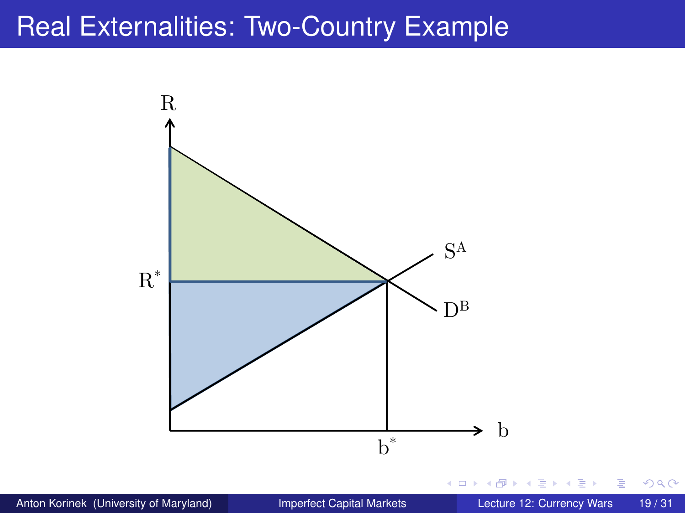## Real Externalities: Two-Country Example

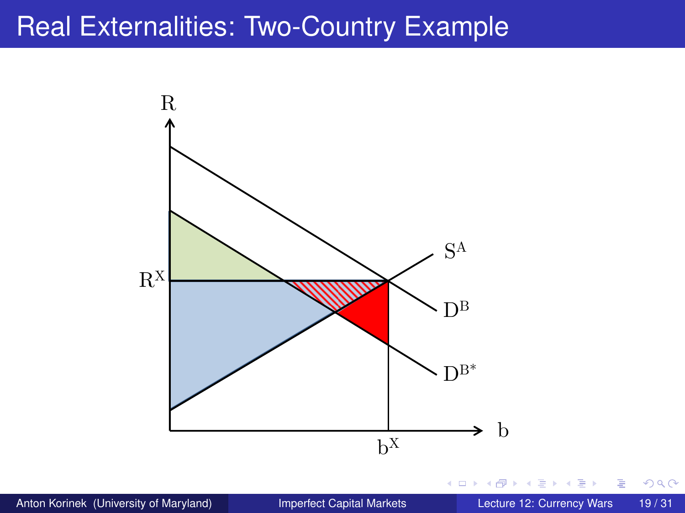## Real Externalities: Two-Country Example



Þ

 $299$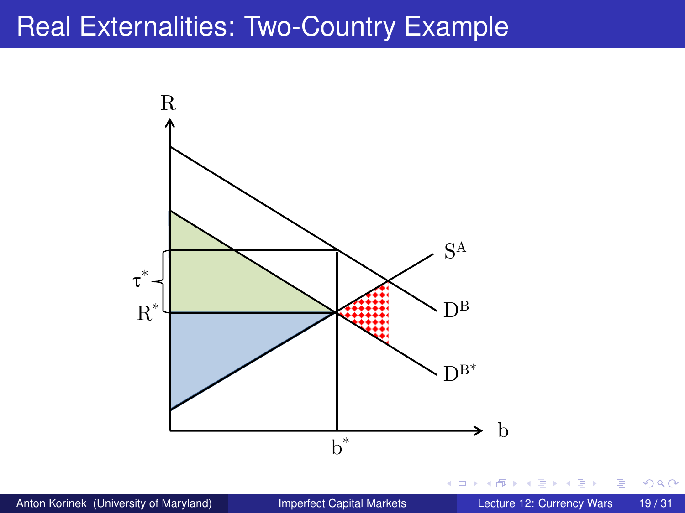## Real Externalities: Two-Country Example



Þ

 $299$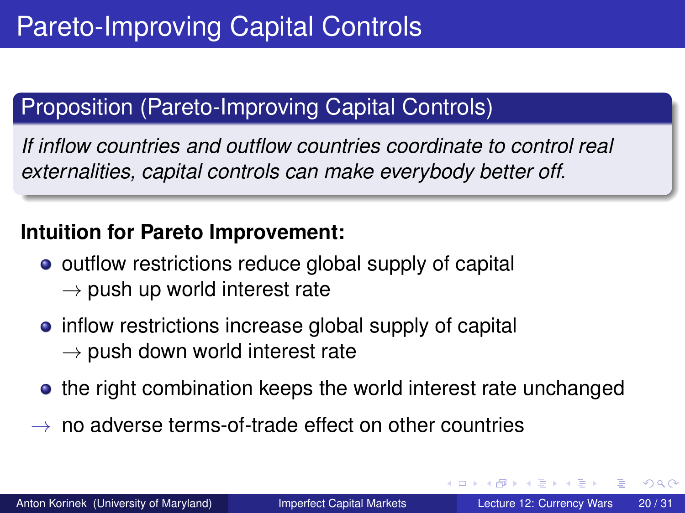### Proposition (Pareto-Improving Capital Controls)

*If inflow countries and outflow countries coordinate to control real externalities, capital controls can make everybody better off.*

#### **Intuition for Pareto Improvement:**

- outflow restrictions reduce global supply of capital  $\rightarrow$  push up world interest rate
- inflow restrictions increase global supply of capital  $\rightarrow$  push down world interest rate
- the right combination keeps the world interest rate unchanged
- $\rightarrow$  no adverse terms-of-trade effect on other countries

 $\Omega$ 

イロト イ押ト イヨト イヨ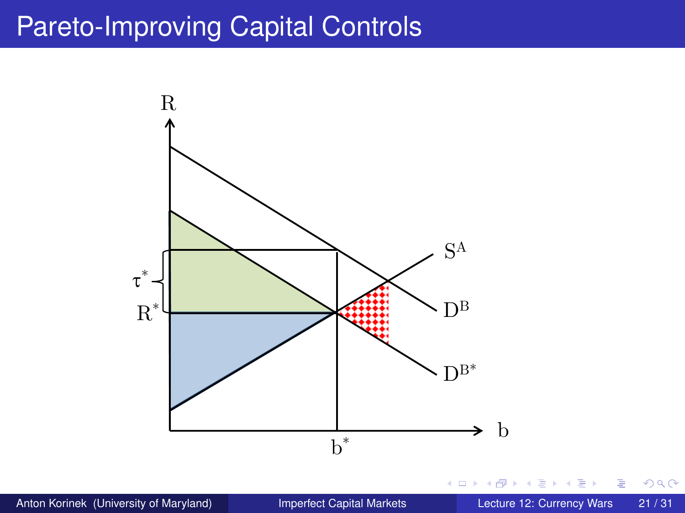# Pareto-Improving Capital Controls



重

 $299$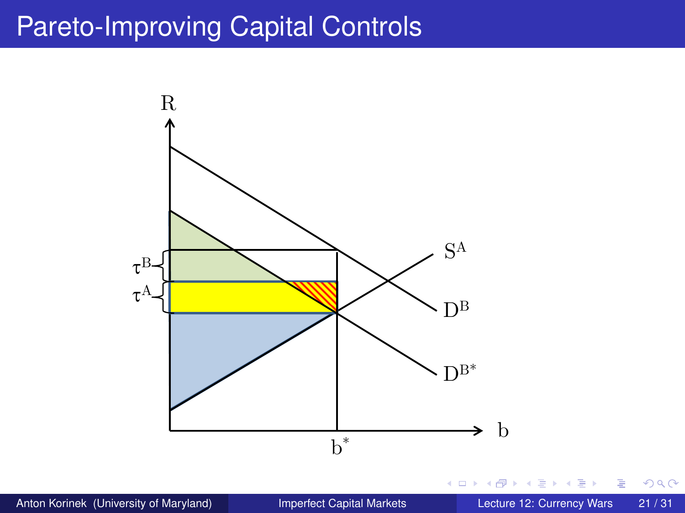# Pareto-Improving Capital Controls



重

 $299$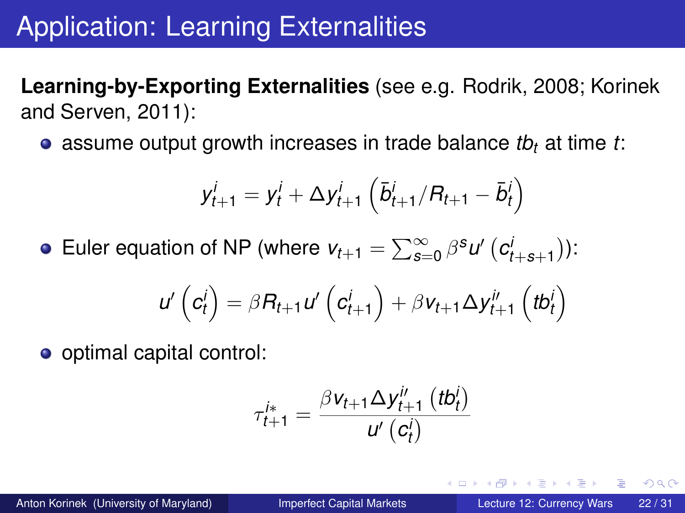# Application: Learning Externalities

**Learning-by-Exporting Externalities** (see e.g. Rodrik, 2008; Korinek and Serven, 2011):

assume output growth increases in trade balance *tb<sup>t</sup>* at time *t*:

$$
y_{t+1}^i = y_t^i + \Delta y_{t+1}^i \left( \bar{b}_{t+1}^i / R_{t+1} - \bar{b}_t^i \right)
$$

Euler equation of NP (where  $v_{t+1} = \sum_{s=0}^{\infty} \beta^{s} u' \left( c_{t+s+1}^{i} \right)$ ):

$$
u'\left(c_t^i\right) = \beta R_{t+1} u'\left(c_{t+1}^i\right) + \beta v_{t+1} \Delta y_{t+1}^{i'}\left(tb_t^i\right)
$$

o optimal capital control:

$$
\tau_{t+1}^{i*} = \frac{\beta v_{t+1} \Delta y_{t+1}^{i\prime} (tb_t^i)}{u^{\prime} (c_t^i)}
$$

 $\Omega$ 

イロト イ押ト イヨト イヨトー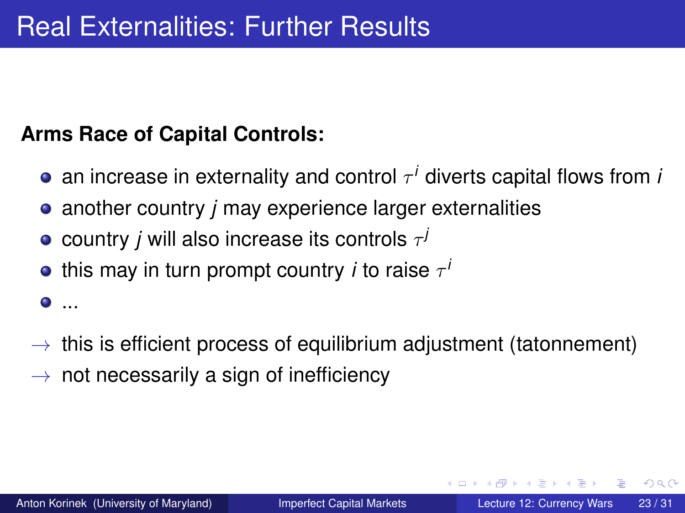### **Arms Race of Capital Controls:**

- an increase in externality and control  $\tau^i$  diverts capital flows from *i*
- another country *j* may experience larger externalities
- country  $j$  will also increase its controls  $\tau^j$
- this may in turn prompt country  $i$  to raise  $\tau^i$
- $\rightarrow$  this is efficient process of equilibrium adjustment (tatonnement)
- $\rightarrow$  not necessarily a sign of inefficiency

 $\bullet$  ...

 $\Omega$ 

イロト イ押 トイラト イラト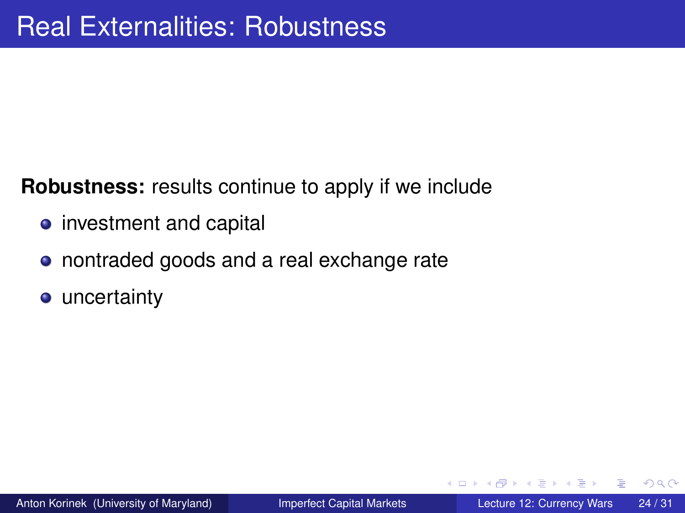#### **Robustness:** results continue to apply if we include

- investment and capital
- nontraded goods and a real exchange rate
- **•** uncertainty

 $\Omega$ 

医单位 医单

4 ロ ト ィ *同* ト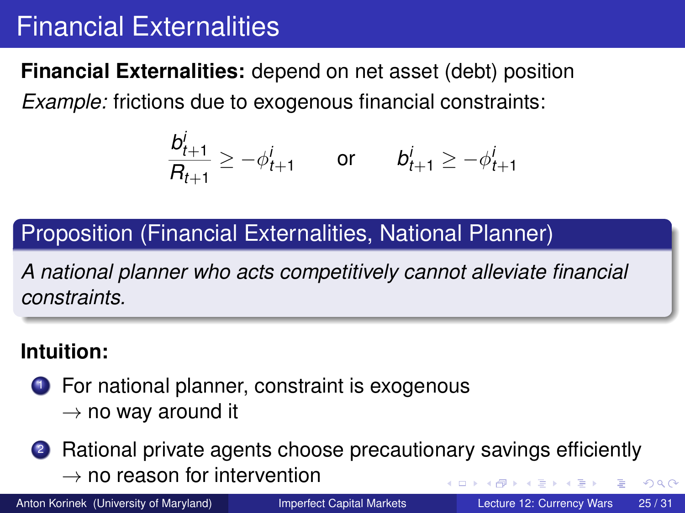# Financial Externalities

**Financial Externalities:** depend on net asset (debt) position *Example:* frictions due to exogenous financial constraints:

$$
\frac{b_{t+1}^i}{B_{t+1}} \ge -\phi_{t+1}^i \quad \text{or} \quad b_{t+1}^i \ge -\phi_{t+1}^i
$$

### Proposition (Financial Externalities, National Planner)

*A national planner who acts competitively cannot alleviate financial constraints.*

### **Intuition:**

- **1** For national planner, constraint is exogenous
	- $\rightarrow$  no way around it

2 Rational private agents choose precautionary savings efficiently  $\rightarrow$  no reason for intervention  $QQ$ 4 D > 4 O +

Anton Korinek (University of Maryland) [Imperfect Capital Markets](#page-0-0) Lecture 12: Currency Wars 25/31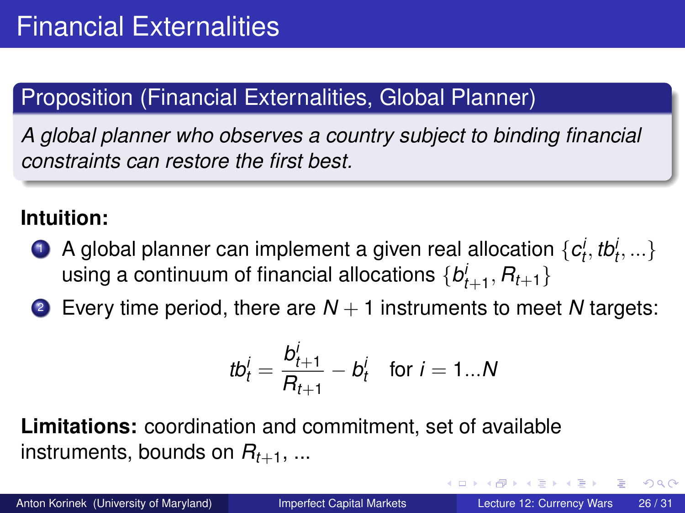### Proposition (Financial Externalities, Global Planner)

*A global planner who observes a country subject to binding financial constraints can restore the first best.*

#### **Intuition:**

- **1** A global planner can implement a given real allocation  $\{c^i_t, tb^i_t, ...\}$ using a continuum of financial allocations  $\{b^{j}_{t+1}, R_{t+1}\}$
- **2** Every time period, there are  $N + 1$  instruments to meet N targets:

$$
tb_t^i = \frac{b_{t+1}^i}{R_{t+1}} - b_t^i \quad \text{for } i = 1...N
$$

**Limitations:** coordination and commitment, set of available instruments, bounds on  $R_{t+1}$ , ...

 $\Omega$ 

イロト イ押ト イヨト イヨ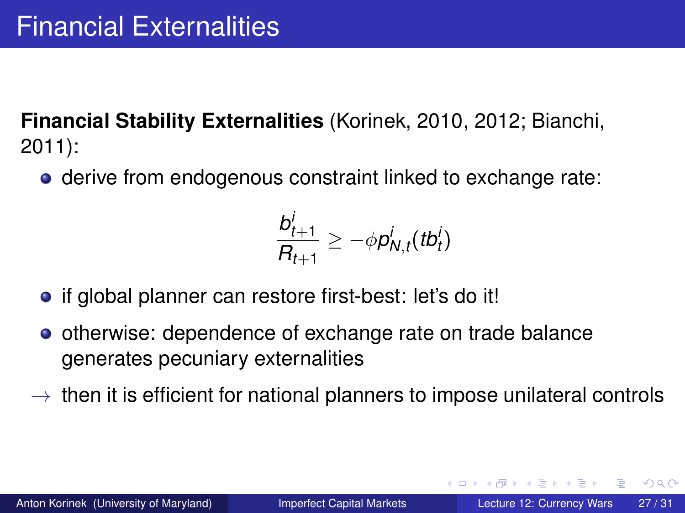**Financial Stability Externalities** (Korinek, 2010, 2012; Bianchi, 2011):

**•** derive from endogenous constraint linked to exchange rate:

$$
\frac{b_{t+1}^i}{B_{t+1}} \ge -\phi p_{N,t}^i(tb_t^i)
$$

- if global planner can restore first-best: let's do it!
- **•** otherwise: dependence of exchange rate on trade balance generates pecuniary externalities
- $\rightarrow$  then it is efficient for national planners to impose unilateral controls

 $\Omega$ 

イロト イ押ト イヨト イヨトー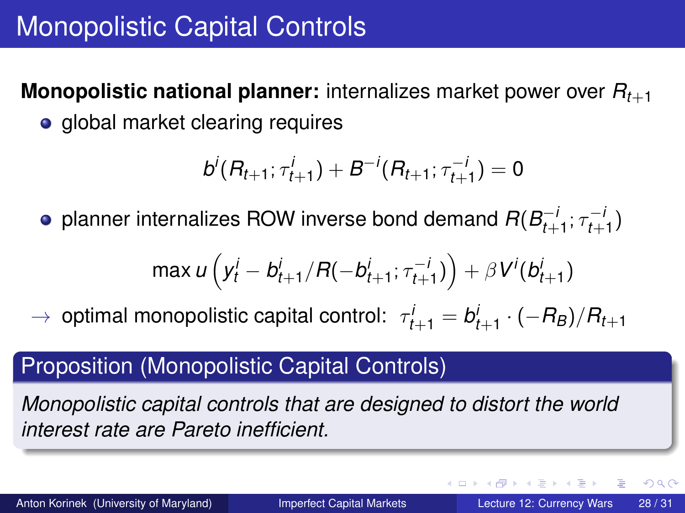**Monopolistic national planner:** internalizes market power over *Rt*+<sup>1</sup>

• global market clearing requires

$$
b^i(R_{t+1}; \tau_{t+1}^i) + B^{-i}(R_{t+1}; \tau_{t+1}^{-i}) = 0
$$

planner internalizes ROW inverse bond demand  $R(B_{t+1}^{+})$ <sup>*−i*</sup>, ; τ−<sup>i</sup><br>t+1<sup>; τ</sup>t+  $_{t+1}^{-1}$ 

$$
\max u\left(y_t^i - b_{t+1}^i/R(-b_{t+1}^i; \tau_{t+1}^{-i})\right) + \beta V^i(b_{t+1}^i)
$$

 $\rightarrow$  optimal monopolistic capital control:  $\tau_{t+1}^i = b_{t+1}^i \cdot (-R_B)/R_{t+1}$ 

### Proposition (Monopolistic Capital Controls)

*Monopolistic capital controls that are designed to distort the world interest rate are Pareto inefficient.*

Anton Korinek (University of Maryland) [Imperfect Capital Markets](#page-0-0) Lecture 12: Currency Wars 28 / 31

 $\Omega$ 

4 0 8 4 4 9 8 4 9 8 4 9 8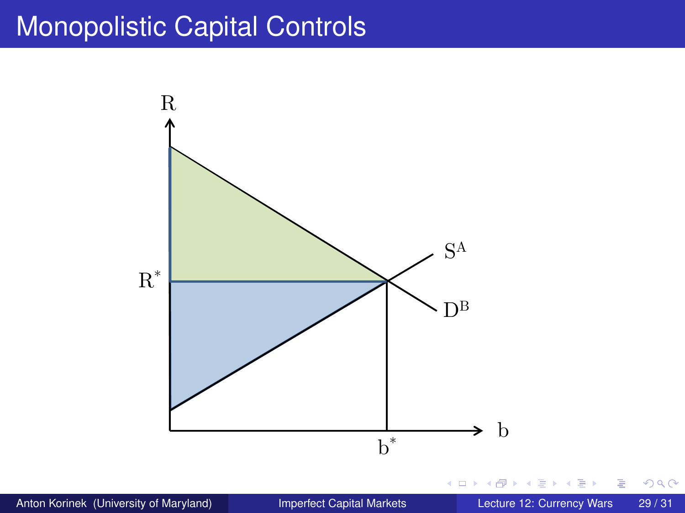## Monopolistic Capital Controls

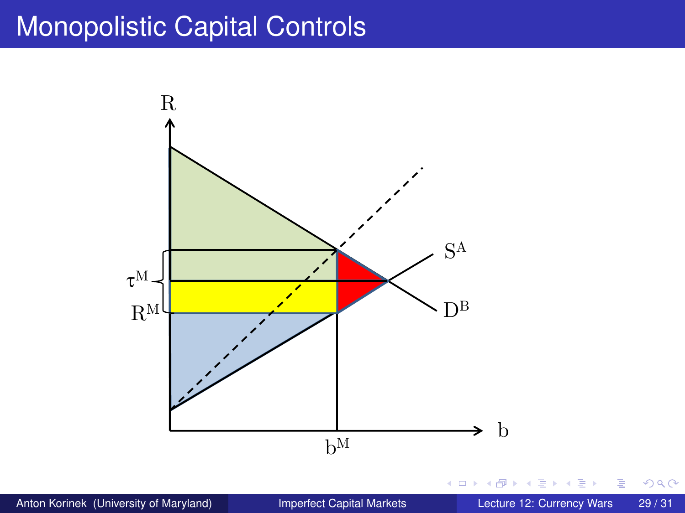## Monopolistic Capital Controls

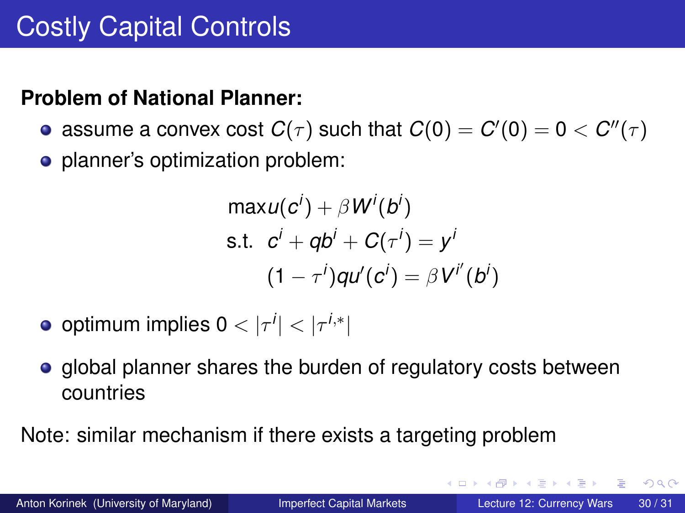### **Problem of National Planner:**

- assume a convex cost  $C(\tau)$  such that  $C(0)=C'(0)=0 < C''(\tau)$
- planner's optimization problem:

$$
\begin{aligned}\n\max u(c^i) + \beta W^i(b^i) \\
\text{s.t.} \quad c^i + qb^i + C(\tau^i) &= y^i \\
(1 - \tau^i) qu'(c^i) &= \beta V^{i'}(b^i)\n\end{aligned}
$$

- $\mathsf{optimum}$  implies  $0<|\tau^i|<|\tau^{i,*}|$
- global planner shares the burden of regulatory costs between countries

Note: similar mechanism if there exists a targeting problem

 $\Omega$ 

イロト イ押ト イヨト イヨトー